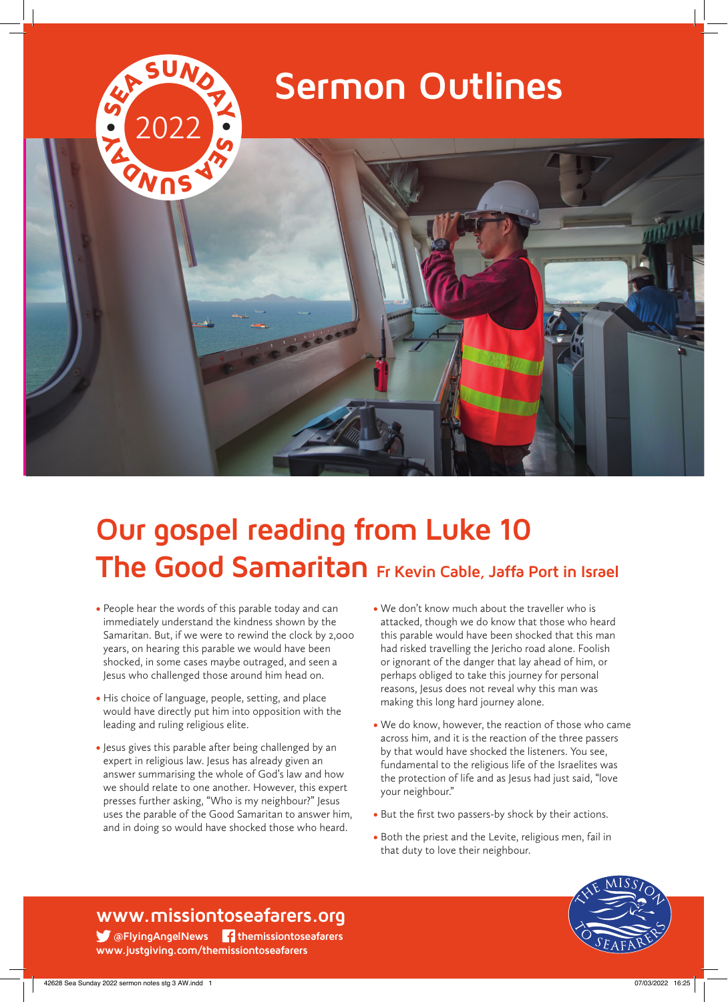

# **Our gospel reading from Luke 10 The Good Samaritan Fr Kevin Cable, Jaffa Port in Israel**

- People hear the words of this parable today and can immediately understand the kindness shown by the Samaritan. But, if we were to rewind the clock by 2,000 years, on hearing this parable we would have been shocked, in some cases maybe outraged, and seen a Jesus who challenged those around him head on.
- His choice of language, people, setting, and place would have directly put him into opposition with the leading and ruling religious elite.
- Jesus gives this parable after being challenged by an expert in religious law. Jesus has already given an answer summarising the whole of God's law and how we should relate to one another. However, this expert presses further asking, "Who is my neighbour?" Jesus uses the parable of the Good Samaritan to answer him, and in doing so would have shocked those who heard.
- We don't know much about the traveller who is attacked, though we do know that those who heard this parable would have been shocked that this man had risked travelling the Jericho road alone. Foolish or ignorant of the danger that lay ahead of him, or perhaps obliged to take this journey for personal reasons, Jesus does not reveal why this man was making this long hard journey alone.
- We do know, however, the reaction of those who came across him, and it is the reaction of the three passers by that would have shocked the listeners. You see, fundamental to the religious life of the Israelites was the protection of life and as Jesus had just said, "love your neighbour."
- But the first two passers-by shock by their actions.
- Both the priest and the Levite, religious men, fail in that duty to love their neighbour.



### **www.missiontoseafarers.org**

 **@FlyingAngelNews themissiontoseafarers www.justgiving.com/themissiontoseafarers**